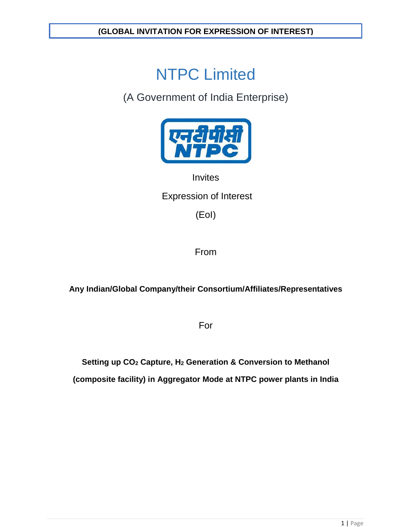# NTPC Limited

(A Government of India Enterprise)



# **Invites**

# Expression of Interest

(EoI)

From

**Any Indian/Global Company/their Consortium/Affiliates/Representatives**

For

**Setting up CO2 Capture, H2 Generation & Conversion to Methanol (composite facility) in Aggregator Mode at NTPC power plants in India**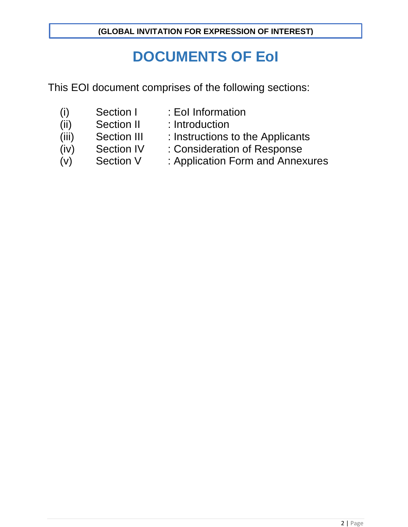# **DOCUMENTS OF EoI**

This EOI document comprises of the following sections:

- 
- (i) Section I : EoI Information<br>(ii) Section II : Introduction (ii) Section II : Introduction
- 
- (iii) Section III : Instructions to the Applicants<br>(iv) Section IV : Consideration of Response
- 
- (iv) Section IV : Consideration of Response
- 
- (v) Section V : Application Form and Annexures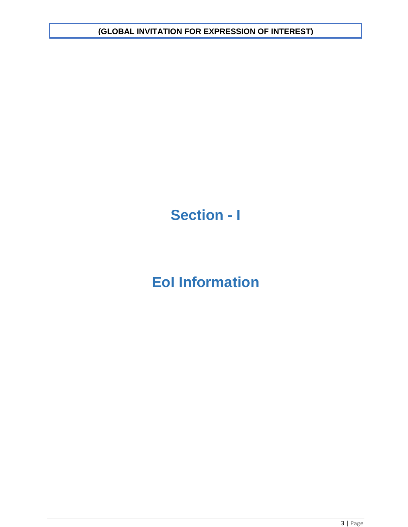# **Section - I**

# **EoI Information**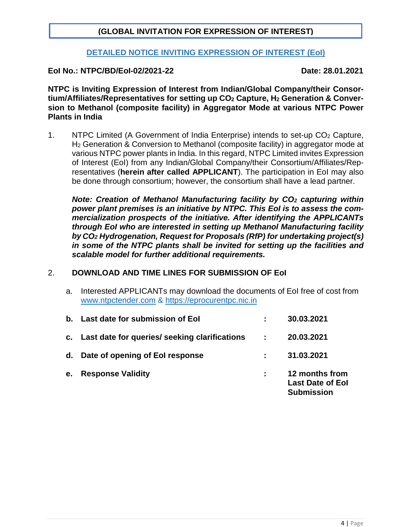## **DETAILED NOTICE INVITING EXPRESSION OF INTEREST (EoI)**

### **EoI No.: NTPC/BD/EoI-02/2021-22 Date: 28.01.2021**

**NTPC is Inviting Expression of Interest from Indian/Global Company/their Consortium/Affiliates/Representatives for setting up CO2 Capture, H2 Generation & Conversion to Methanol (composite facility) in Aggregator Mode at various NTPC Power Plants in India**

1. NTPC Limited (A Government of India Enterprise) intends to set-up CO2 Capture, H2 Generation & Conversion to Methanol (composite facility) in aggregator mode at various NTPC power plants in India. In this regard, NTPC Limited invites Expression of Interest (EoI) from any Indian/Global Company/their Consortium/Affiliates/Representatives (**herein after called APPLICANT**). The participation in EoI may also be done through consortium; however, the consortium shall have a lead partner.

*Note: Creation of Methanol Manufacturing facility by CO2 capturing within power plant premises is an initiative by NTPC. This EoI is to assess the commercialization prospects of the initiative. After identifying the APPLICANTs through EoI who are interested in setting up Methanol Manufacturing facility by CO2 Hydrogenation, Request for Proposals (RfP) for undertaking project(s) in some of the NTPC plants shall be invited for setting up the facilities and scalable model for further additional requirements.*

### 2. **DOWNLOAD AND TIME LINES FOR SUBMISSION OF EoI**

a. Interested APPLICANTs may download the documents of EoI free of cost from www.ntpctender.com & [https://eprocurentpc.nic.in](https://eprocurentpc.nic.in/)

|    | b. Last date for submission of Eol<br>c. Last date for queries/ seeking clarifications | $\sim 100$ | 30.03.2021<br>20.03.2021                                       |
|----|----------------------------------------------------------------------------------------|------------|----------------------------------------------------------------|
|    | d. Date of opening of Eol response                                                     |            | 31.03.2021                                                     |
| e. | <b>Response Validity</b>                                                               |            | 12 months from<br><b>Last Date of Eol</b><br><b>Submission</b> |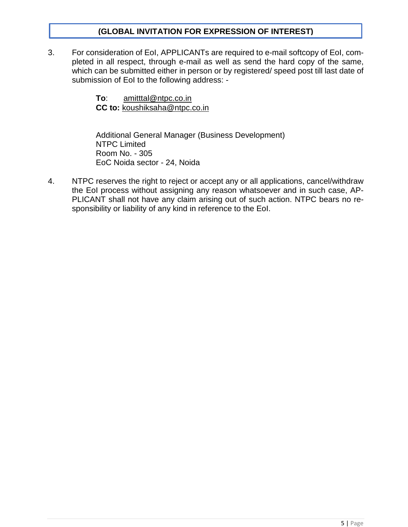3. For consideration of EoI, APPLICANTs are required to e-mail softcopy of EoI, completed in all respect, through e-mail as well as send the hard copy of the same, which can be submitted either in person or by registered/ speed post till last date of submission of EoI to the following address: -

> **To**: amitttal@ntpc.co.in **CC to:** [koushiksaha@ntpc.co.in](mailto:chandanchakraborty02@ntpc.co.in)

Additional General Manager (Business Development) NTPC Limited Room No. - 305 EoC Noida sector - 24, Noida

4. NTPC reserves the right to reject or accept any or all applications, cancel/withdraw the EoI process without assigning any reason whatsoever and in such case, AP-PLICANT shall not have any claim arising out of such action. NTPC bears no responsibility or liability of any kind in reference to the EoI.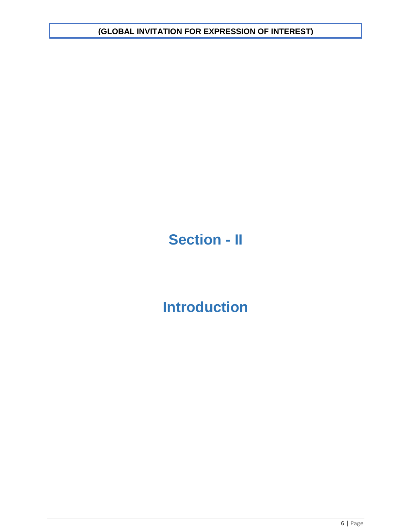# **Section - II**

# **Introduction**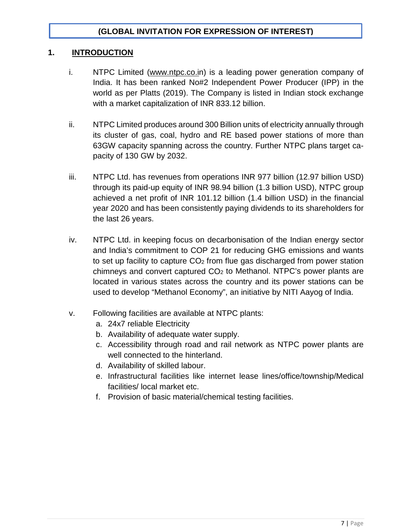## **1. INTRODUCTION**

- i. NTPC Limited [\(www.ntpc.co.in](http://www.ntpc.co.i/)) is a leading power generation company of India. It has been ranked No#2 Independent Power Producer (IPP) in the world as per Platts (2019). The Company is listed in Indian stock exchange with a market capitalization of INR 833.12 billion.
- ii. NTPC Limited produces around 300 Billion units of electricity annually through its cluster of gas, coal, hydro and RE based power stations of more than 63GW capacity spanning across the country. Further NTPC plans target capacity of 130 GW by 2032.
- iii. NTPC Ltd. has revenues from operations INR 977 billion (12.97 billion USD) through its paid-up equity of INR 98.94 billion (1.3 billion USD), NTPC group achieved a net profit of INR 101.12 billion (1.4 billion USD) in the financial year 2020 and has been consistently paying dividends to its shareholders for the last 26 years.
- iv. NTPC Ltd. in keeping focus on decarbonisation of the Indian energy sector and India's commitment to COP 21 for reducing GHG emissions and wants to set up facility to capture  $CO<sub>2</sub>$  from flue gas discharged from power station chimneys and convert captured  $CO<sub>2</sub>$  to Methanol. NTPC's power plants are located in various states across the country and its power stations can be used to develop "Methanol Economy", an initiative by NITI Aayog of India.
- v. Following facilities are available at NTPC plants:
	- a. 24x7 reliable Electricity
	- b. Availability of adequate water supply.
	- c. Accessibility through road and rail network as NTPC power plants are well connected to the hinterland.
	- d. Availability of skilled labour.
	- e. Infrastructural facilities like internet lease lines/office/township/Medical facilities/ local market etc.
	- f. Provision of basic material/chemical testing facilities.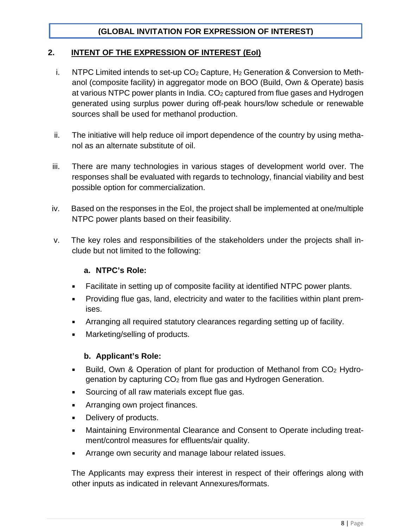## **2. INTENT OF THE EXPRESSION OF INTEREST (EoI)**

- i. NTPC Limited intends to set-up CO<sub>2</sub> Capture, H<sub>2</sub> Generation & Conversion to Methanol (composite facility) in aggregator mode on BOO (Build, Own & Operate) basis at various NTPC power plants in India.  $CO<sub>2</sub>$  captured from flue gases and Hydrogen generated using surplus power during off-peak hours/low schedule or renewable sources shall be used for methanol production.
- ii. The initiative will help reduce oil import dependence of the country by using methanol as an alternate substitute of oil.
- iii. There are many technologies in various stages of development world over. The responses shall be evaluated with regards to technology, financial viability and best possible option for commercialization.
- iv. Based on the responses in the EoI, the project shall be implemented at one/multiple NTPC power plants based on their feasibility.
- v. The key roles and responsibilities of the stakeholders under the projects shall include but not limited to the following:

### **a. NTPC's Role:**

- Facilitate in setting up of composite facility at identified NTPC power plants.
- Providing flue gas, land, electricity and water to the facilities within plant premises.
- Arranging all required statutory clearances regarding setting up of facility.
- Marketing/selling of products.

### **b. Applicant's Role:**

- Build, Own & Operation of plant for production of Methanol from CO<sub>2</sub> Hydrogenation by capturing CO2 from flue gas and Hydrogen Generation.
- Sourcing of all raw materials except flue gas.
- Arranging own project finances.
- Delivery of products.
- **■** Maintaining Environmental Clearance and Consent to Operate including treatment/control measures for effluents/air quality.
- **EXEDEE Arrange own security and manage labour related issues.**

The Applicants may express their interest in respect of their offerings along with other inputs as indicated in relevant Annexures/formats.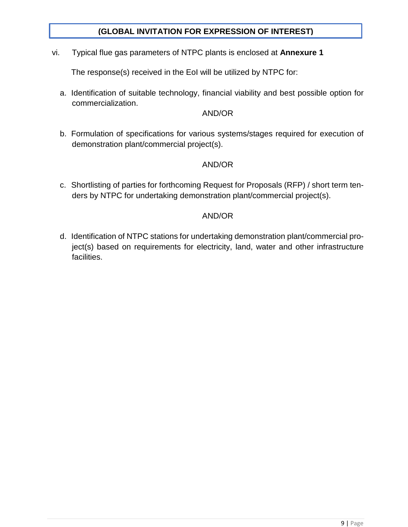vi. Typical flue gas parameters of NTPC plants is enclosed at **Annexure 1**

The response(s) received in the EoI will be utilized by NTPC for:

a. Identification of suitable technology, financial viability and best possible option for commercialization.

### AND/OR

b. Formulation of specifications for various systems/stages required for execution of demonstration plant/commercial project(s).

## AND/OR

c. Shortlisting of parties for forthcoming Request for Proposals (RFP) / short term tenders by NTPC for undertaking demonstration plant/commercial project(s).

## AND/OR

d. Identification of NTPC stations for undertaking demonstration plant/commercial project(s) based on requirements for electricity, land, water and other infrastructure facilities.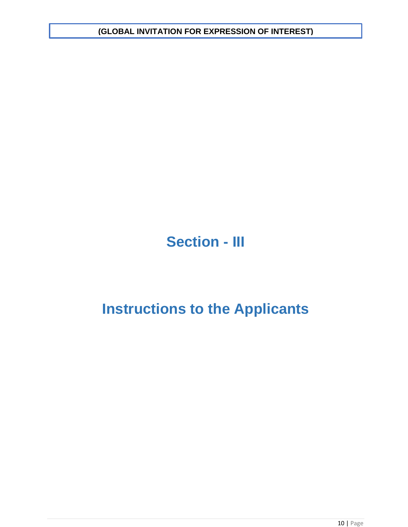# **Section - III**

# **Instructions to the Applicants**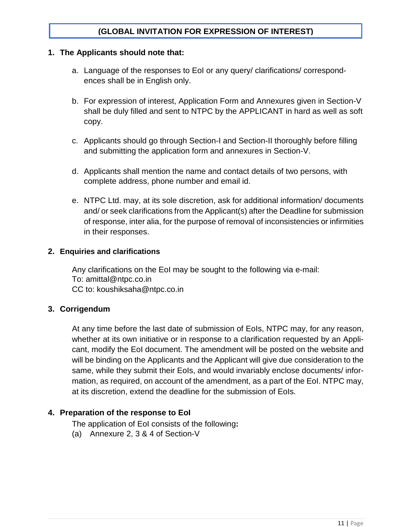#### **1. The Applicants should note that:**

- a. Language of the responses to EoI or any query/ clarifications/ correspondences shall be in English only.
- b. For expression of interest, Application Form and Annexures given in Section-V shall be duly filled and sent to NTPC by the APPLICANT in hard as well as soft copy.
- c. Applicants should go through Section-I and Section-II thoroughly before filling and submitting the application form and annexures in Section-V.
- d. Applicants shall mention the name and contact details of two persons, with complete address, phone number and email id.
- e. NTPC Ltd. may, at its sole discretion, ask for additional information/ documents and/ or seek clarifications from the Applicant(s) after the Deadline for submission of response, inter alia, for the purpose of removal of inconsistencies or infirmities in their responses.

#### **2. Enquiries and clarifications**

Any clarifications on the EoI may be sought to the following via e-mail: To: amitta[l@ntpc.co.in](mailto:anuragsingh@ntpc.co.in) CC to: koushiksaha@ntpc.co.in

### **3. Corrigendum**

At any time before the last date of submission of EoIs, NTPC may, for any reason, whether at its own initiative or in response to a clarification requested by an Applicant, modify the EoI document. The amendment will be posted on the website and will be binding on the Applicants and the Applicant will give due consideration to the same, while they submit their EoIs, and would invariably enclose documents/ information, as required, on account of the amendment, as a part of the EoI. NTPC may, at its discretion, extend the deadline for the submission of EoIs.

### **4. Preparation of the response to EoI**

The application of EoI consists of the following**:**

(a) Annexure 2, 3 & 4 of Section-V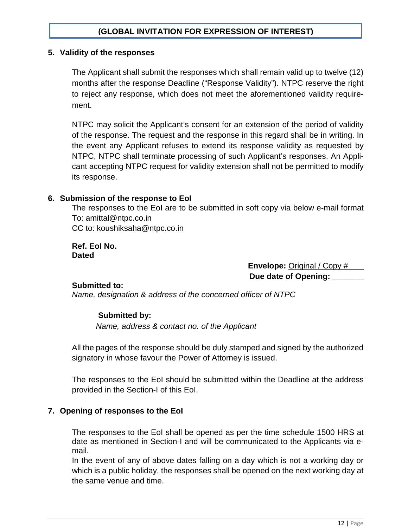#### **5. Validity of the responses**

The Applicant shall submit the responses which shall remain valid up to twelve (12) months after the response Deadline ("Response Validity"). NTPC reserve the right to reject any response, which does not meet the aforementioned validity requirement.

NTPC may solicit the Applicant's consent for an extension of the period of validity of the response. The request and the response in this regard shall be in writing. In the event any Applicant refuses to extend its response validity as requested by NTPC, NTPC shall terminate processing of such Applicant's responses. An Applicant accepting NTPC request for validity extension shall not be permitted to modify its response.

#### **6. Submission of the response to EoI**

The responses to the EoI are to be submitted in soft copy via below e-mail format To: amitta[l@ntpc.co.in](mailto:anuragsingh@ntpc.co.in) CC to: koushiksaha@ntpc.co.in

**Ref. EoI No. Dated**

> **Envelope:** Original / Copy # \_\_\_ **Due date of Opening: \_\_\_\_\_\_\_**

#### **Submitted to:**

*Name, designation & address of the concerned officer of NTPC*

#### **Submitted by:**

*Name, address & contact no. of the Applicant*

All the pages of the response should be duly stamped and signed by the authorized signatory in whose favour the Power of Attorney is issued.

The responses to the EoI should be submitted within the Deadline at the address provided in the Section-I of this EoI.

#### **7. Opening of responses to the EoI**

The responses to the EoI shall be opened as per the time schedule 1500 HRS at date as mentioned in Section-I and will be communicated to the Applicants via email.

In the event of any of above dates falling on a day which is not a working day or which is a public holiday, the responses shall be opened on the next working day at the same venue and time.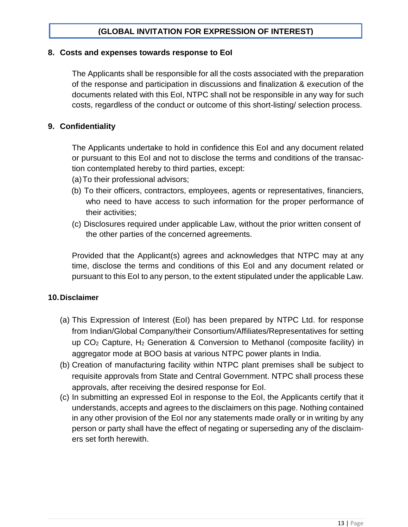#### **8. Costs and expenses towards response to EoI**

The Applicants shall be responsible for all the costs associated with the preparation of the response and participation in discussions and finalization & execution of the documents related with this EoI, NTPC shall not be responsible in any way for such costs, regardless of the conduct or outcome of this short-listing/ selection process.

### **9. Confidentiality**

The Applicants undertake to hold in confidence this EoI and any document related or pursuant to this EoI and not to disclose the terms and conditions of the transaction contemplated hereby to third parties, except:

- (a)To their professional advisors;
- (b) To their officers, contractors, employees, agents or representatives, financiers, who need to have access to such information for the proper performance of their activities;
- (c) Disclosures required under applicable Law, without the prior written consent of the other parties of the concerned agreements.

Provided that the Applicant(s) agrees and acknowledges that NTPC may at any time, disclose the terms and conditions of this EoI and any document related or pursuant to this EoI to any person, to the extent stipulated under the applicable Law.

#### **10.Disclaimer**

- (a) This Expression of Interest (EoI) has been prepared by NTPC Ltd. for response from Indian/Global Company/their Consortium/Affiliates/Representatives for setting up CO2 Capture, H2 Generation & Conversion to Methanol (composite facility) in aggregator mode at BOO basis at various NTPC power plants in India.
- (b) Creation of manufacturing facility within NTPC plant premises shall be subject to requisite approvals from State and Central Government. NTPC shall process these approvals, after receiving the desired response for EoI.
- (c) In submitting an expressed EoI in response to the EoI, the Applicants certify that it understands, accepts and agrees to the disclaimers on this page. Nothing contained in any other provision of the EoI nor any statements made orally or in writing by any person or party shall have the effect of negating or superseding any of the disclaimers set forth herewith.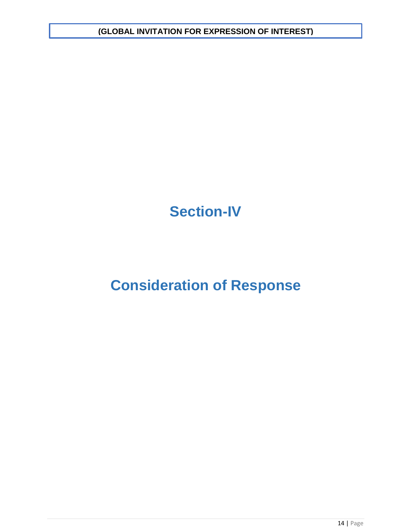# **Section-IV**

# **Consideration of Response**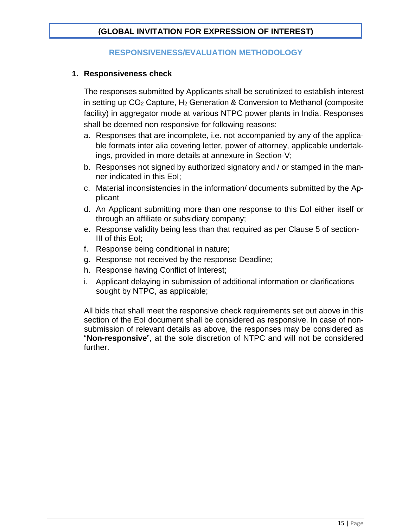## **RESPONSIVENESS/EVALUATION METHODOLOGY**

### **1. Responsiveness check**

The responses submitted by Applicants shall be scrutinized to establish interest in setting up CO2 Capture, H2 Generation & Conversion to Methanol (composite facility) in aggregator mode at various NTPC power plants in India. Responses shall be deemed non responsive for following reasons:

- a. Responses that are incomplete, i.e. not accompanied by any of the applicable formats inter alia covering letter, power of attorney, applicable undertakings, provided in more details at annexure in Section-V;
- b. Responses not signed by authorized signatory and / or stamped in the manner indicated in this EoI;
- c. Material inconsistencies in the information/ documents submitted by the Applicant
- d. An Applicant submitting more than one response to this EoI either itself or through an affiliate or subsidiary company;
- e. Response validity being less than that required as per Clause 5 of section-III of this EoI;
- f. Response being conditional in nature;
- g. Response not received by the response Deadline;
- h. Response having Conflict of Interest;
- i. Applicant delaying in submission of additional information or clarifications sought by NTPC, as applicable;

All bids that shall meet the responsive check requirements set out above in this section of the EoI document shall be considered as responsive. In case of nonsubmission of relevant details as above, the responses may be considered as "**Non-responsive**", at the sole discretion of NTPC and will not be considered further.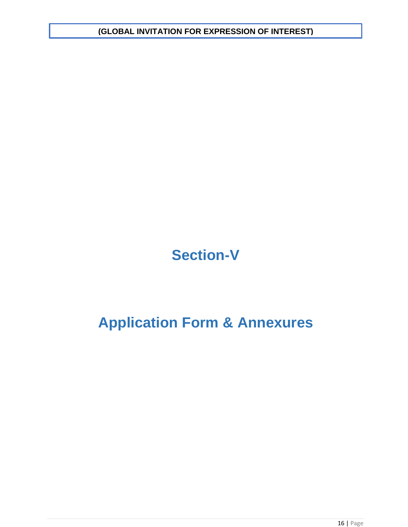# **Section-V**

# **Application Form & Annexures**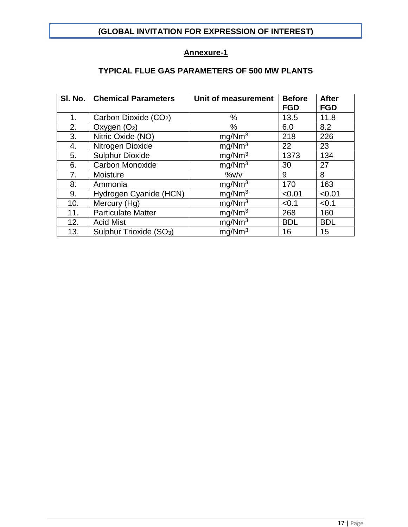## **Annexure-1**

# **TYPICAL FLUE GAS PARAMETERS OF 500 MW PLANTS**

| SI. No. | <b>Chemical Parameters</b>          | Unit of measurement | <b>Before</b><br><b>FGD</b> | <b>After</b><br><b>FGD</b> |
|---------|-------------------------------------|---------------------|-----------------------------|----------------------------|
|         |                                     |                     |                             |                            |
| 1.      | Carbon Dioxide (CO <sub>2</sub> )   | %                   | 13.5                        | 11.8                       |
| 2.      | Oxygen $(O_2)$                      | %                   | 6.0                         | 8.2                        |
| 3.      | Nitric Oxide (NO)                   | mg/Nm <sup>3</sup>  | 218                         | 226                        |
| 4.      | Nitrogen Dioxide                    | mg/Nm <sup>3</sup>  | 22                          | 23                         |
| 5.      | <b>Sulphur Dioxide</b>              | mg/Nm <sup>3</sup>  | 1373                        | 134                        |
| 6.      | <b>Carbon Monoxide</b>              | mg/Nm <sup>3</sup>  | 30                          | 27                         |
| 7.      | Moisture                            | $\frac{9}{6}V/V$    | 9                           | 8                          |
| 8.      | Ammonia                             | mg/Nm <sup>3</sup>  | 170                         | 163                        |
| 9.      | Hydrogen Cyanide (HCN)              | mg/Nm <sup>3</sup>  | < 0.01                      | < 0.01                     |
| 10.     | Mercury (Hg)                        | mg/Nm <sup>3</sup>  | < 0.1                       | < 0.1                      |
| 11.     | <b>Particulate Matter</b>           | mg/Nm <sup>3</sup>  | 268                         | 160                        |
| 12.     | <b>Acid Mist</b>                    | mg/Nm <sup>3</sup>  | <b>BDL</b>                  | <b>BDL</b>                 |
| 13.     | Sulphur Trioxide (SO <sub>3</sub> ) | mq/Nm <sup>3</sup>  | 16                          | 15                         |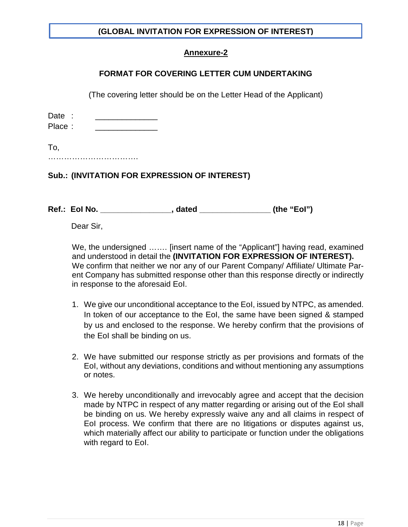## **Annexure-2**

## **FORMAT FOR COVERING LETTER CUM UNDERTAKING**

(The covering letter should be on the Letter Head of the Applicant)

| Date : |  |  |  |  |  |
|--------|--|--|--|--|--|
| Place: |  |  |  |  |  |
|        |  |  |  |  |  |
| To,    |  |  |  |  |  |
| .      |  |  |  |  |  |

# **Sub.: (INVITATION FOR EXPRESSION OF INTEREST)**

**Ref.: EoI No. \_\_\_\_\_\_\_\_\_\_\_\_\_\_\_\_, dated \_\_\_\_\_\_\_\_\_\_\_\_\_\_\_\_ (the "EoI")**

Dear Sir,

We, the undersigned ……. [insert name of the "Applicant"] having read, examined and understood in detail the **(INVITATION FOR EXPRESSION OF INTEREST).** We confirm that neither we nor any of our Parent Company/ Affiliate/ Ultimate Parent Company has submitted response other than this response directly or indirectly in response to the aforesaid EoI.

- 1. We give our unconditional acceptance to the EoI, issued by NTPC, as amended. In token of our acceptance to the EoI, the same have been signed & stamped by us and enclosed to the response. We hereby confirm that the provisions of the EoI shall be binding on us.
- 2. We have submitted our response strictly as per provisions and formats of the EoI, without any deviations, conditions and without mentioning any assumptions or notes.
- 3. We hereby unconditionally and irrevocably agree and accept that the decision made by NTPC in respect of any matter regarding or arising out of the EoI shall be binding on us. We hereby expressly waive any and all claims in respect of EoI process. We confirm that there are no litigations or disputes against us, which materially affect our ability to participate or function under the obligations with regard to EoI.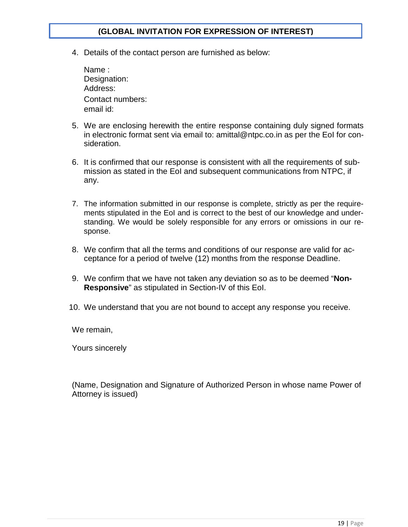4. Details of the contact person are furnished as below:

| Name:            |
|------------------|
| Designation:     |
| Address:         |
| Contact numbers: |
| email id:        |

- 5. We are enclosing herewith the entire response containing duly signed formats in electronic format sent via email to: amittal@ntpc.co.in as per the EoI for consideration.
- 6. It is confirmed that our response is consistent with all the requirements of submission as stated in the EoI and subsequent communications from NTPC, if any.
- 7. The information submitted in our response is complete, strictly as per the requirements stipulated in the EoI and is correct to the best of our knowledge and understanding. We would be solely responsible for any errors or omissions in our response.
- 8. We confirm that all the terms and conditions of our response are valid for acceptance for a period of twelve (12) months from the response Deadline.
- 9. We confirm that we have not taken any deviation so as to be deemed "**Non-Responsive**" as stipulated in Section-IV of this EoI.
- 10. We understand that you are not bound to accept any response you receive.

We remain,

Yours sincerely

(Name, Designation and Signature of Authorized Person in whose name Power of Attorney is issued)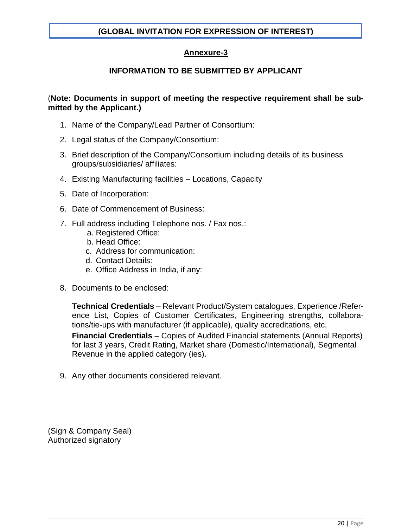# **Annexure-3**

# **INFORMATION TO BE SUBMITTED BY APPLICANT**

### (**Note: Documents in support of meeting the respective requirement shall be submitted by the Applicant.)**

- 1. Name of the Company/Lead Partner of Consortium:
- 2. Legal status of the Company/Consortium:
- 3. Brief description of the Company/Consortium including details of its business groups/subsidiaries/ affiliates:
- 4. Existing Manufacturing facilities Locations, Capacity
- 5. Date of Incorporation:
- 6. Date of Commencement of Business:
- 7. Full address including Telephone nos. / Fax nos.:
	- a. Registered Office:
	- b. Head Office:
	- c. Address for communication:
	- d. Contact Details:
	- e. Office Address in India, if any:
- 8. Documents to be enclosed:

**Technical Credentials** – Relevant Product/System catalogues, Experience /Reference List, Copies of Customer Certificates, Engineering strengths, collaborations/tie-ups with manufacturer (if applicable), quality accreditations, etc.

**Financial Credentials** – Copies of Audited Financial statements (Annual Reports) for last 3 years, Credit Rating, Market share (Domestic/International), Segmental Revenue in the applied category (ies).

9. Any other documents considered relevant.

(Sign & Company Seal) Authorized signatory